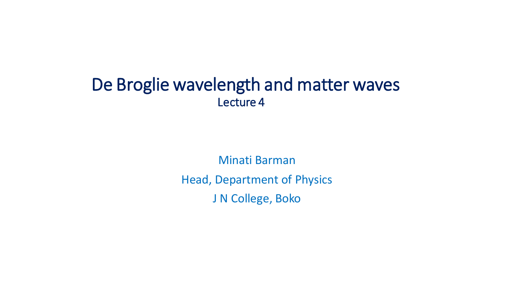## De Broglie wavelength and matter waves Lecture 4

Minati Barman Head, Department of Physics J N College, Boko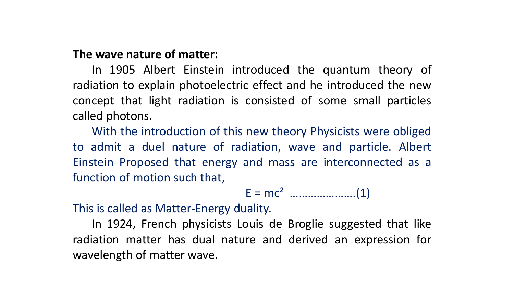## **The wave nature of matter:**

In 1905 Albert Einstein introduced the quantum theory of radiation to explain photoelectric effect and he introduced the new concept that light radiation is consisted of some small particles called photons.

With the introduction of this new theory Physicists were obliged to admit a duel nature of radiation, wave and particle. Albert Einstein Proposed that energy and mass are interconnected as a function of motion such that,

E = mc² ………………….(1)

This is called as Matter-Energy duality.

In 1924, French physicists Louis de Broglie suggested that like radiation matter has dual nature and derived an expression for wavelength of matter wave.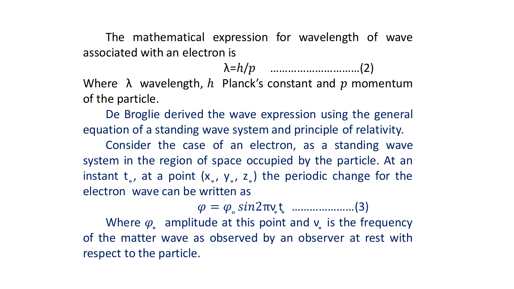The mathematical expression for wavelength of wave associated with an electron is

λ=ℎ/ …………………………(2)

Where  $\lambda$  wavelength,  $h$  Planck's constant and  $p$  momentum of the particle.

De Broglie derived the wave expression using the general equation of a standing wave system and principle of relativity.

Consider the case of an electron, as a standing wave system in the region of space occupied by the particle. At an instant  $t_{0}$ , at a point  $(x_{0}, y_{0}, z_{0})$  the periodic change for the electron wave can be written as

= ̥ 2πν ̥t ̥ …………………(3)

Where  $\varphi$  amplitude at this point and  $v$  is the frequency of the matter wave as observed by an observer at rest with respect to the particle.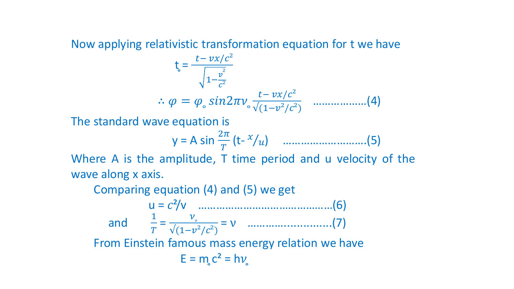## Now applying relativistic transformation equation for t we have

$$
t_{\rm c} = \frac{t - vx/c^2}{\sqrt{1 - \frac{v^2}{c^2}}}
$$
  
 
$$
\therefore \varphi = \varphi_{\rm c} \sin 2\pi v_{\rm o} \frac{t - vx/c^2}{\sqrt{(1 - v^2/c^2)}} \quad ....... (4)
$$

The standard wave equation is

$$
y = A \sin \frac{2\pi}{T} (t - x/u)
$$
 ....... (5)

Where A is the amplitude, T time period and u velocity of the wave along x axis.

Comparing equation (4) and (5) we get

 u = ²/v ………………………………………(6) and  $\frac{1}{x}$  $T$  = ̥ √(1−²/²) = ν …………...............(7) From Einstein famous mass energy relation we have  $E = m_c c^2 = h v_c$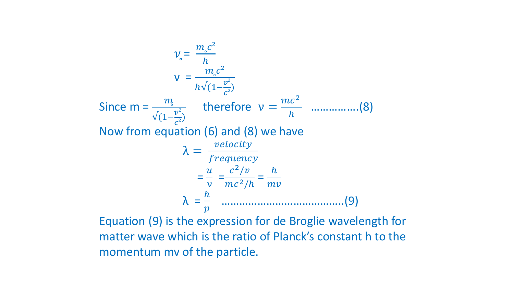$$
v_{\circ} = \frac{m_{\circ}c^2}{h}
$$
  
\n
$$
v = \frac{m_{\circ}c^2}{h\sqrt{(1-\frac{v^2}{c^2})}}
$$
  
\nSince  $m = \frac{m_{\circ}}{\sqrt{(1-\frac{v^2}{c^2})}}$  therefore  $v = \frac{mc^2}{h}$  .........(8)  
\nNow from equation (6) and (8) we have  
\n
$$
\lambda = \frac{velocity}{frequency}
$$
  
\n
$$
= \frac{u}{v} = \frac{c^2/v}{mc^2/h} = \frac{h}{mv}
$$
  
\n
$$
\lambda = \frac{h}{p}
$$
 .........(9)

Equation (9) is the expression for de Broglie wavelength for matter wave which is the ratio of Planck's constant h to the momentum mv of the particle.